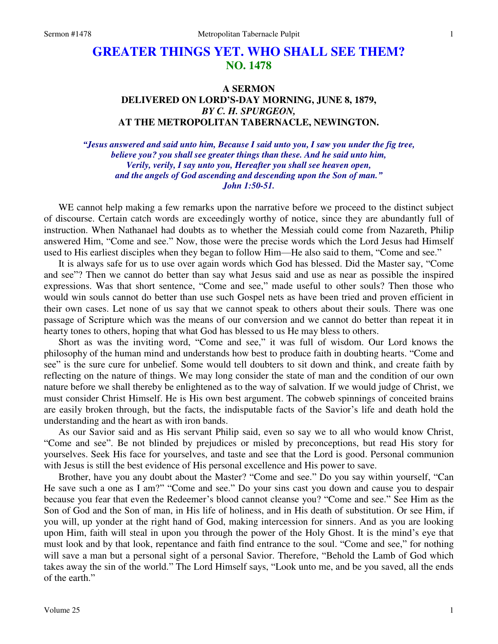## **GREATER THINGS YET. WHO SHALL SEE THEM? NO. 1478**

## **A SERMON DELIVERED ON LORD'S-DAY MORNING, JUNE 8, 1879,**  *BY C. H. SPURGEON,*  **AT THE METROPOLITAN TABERNACLE, NEWINGTON.**

*"Jesus answered and said unto him, Because I said unto you, I saw you under the fig tree, believe you? you shall see greater things than these. And he said unto him, Verily, verily, I say unto you, Hereafter you shall see heaven open, and the angels of God ascending and descending upon the Son of man." John 1:50-51.* 

WE cannot help making a few remarks upon the narrative before we proceed to the distinct subject of discourse. Certain catch words are exceedingly worthy of notice, since they are abundantly full of instruction. When Nathanael had doubts as to whether the Messiah could come from Nazareth, Philip answered Him, "Come and see." Now, those were the precise words which the Lord Jesus had Himself used to His earliest disciples when they began to follow Him—He also said to them, "Come and see."

 It is always safe for us to use over again words which God has blessed. Did the Master say, "Come and see"? Then we cannot do better than say what Jesus said and use as near as possible the inspired expressions. Was that short sentence, "Come and see," made useful to other souls? Then those who would win souls cannot do better than use such Gospel nets as have been tried and proven efficient in their own cases. Let none of us say that we cannot speak to others about their souls. There was one passage of Scripture which was the means of our conversion and we cannot do better than repeat it in hearty tones to others, hoping that what God has blessed to us He may bless to others.

 Short as was the inviting word, "Come and see," it was full of wisdom. Our Lord knows the philosophy of the human mind and understands how best to produce faith in doubting hearts. "Come and see" is the sure cure for unbelief. Some would tell doubters to sit down and think, and create faith by reflecting on the nature of things. We may long consider the state of man and the condition of our own nature before we shall thereby be enlightened as to the way of salvation. If we would judge of Christ, we must consider Christ Himself. He is His own best argument. The cobweb spinnings of conceited brains are easily broken through, but the facts, the indisputable facts of the Savior's life and death hold the understanding and the heart as with iron bands.

 As our Savior said and as His servant Philip said, even so say we to all who would know Christ, "Come and see". Be not blinded by prejudices or misled by preconceptions, but read His story for yourselves. Seek His face for yourselves, and taste and see that the Lord is good. Personal communion with Jesus is still the best evidence of His personal excellence and His power to save.

 Brother, have you any doubt about the Master? "Come and see." Do you say within yourself, "Can He save such a one as I am?" "Come and see." Do your sins cast you down and cause you to despair because you fear that even the Redeemer's blood cannot cleanse you? "Come and see." See Him as the Son of God and the Son of man, in His life of holiness, and in His death of substitution. Or see Him, if you will, up yonder at the right hand of God, making intercession for sinners. And as you are looking upon Him, faith will steal in upon you through the power of the Holy Ghost. It is the mind's eye that must look and by that look, repentance and faith find entrance to the soul. "Come and see," for nothing will save a man but a personal sight of a personal Savior. Therefore, "Behold the Lamb of God which takes away the sin of the world." The Lord Himself says, "Look unto me, and be you saved, all the ends of the earth."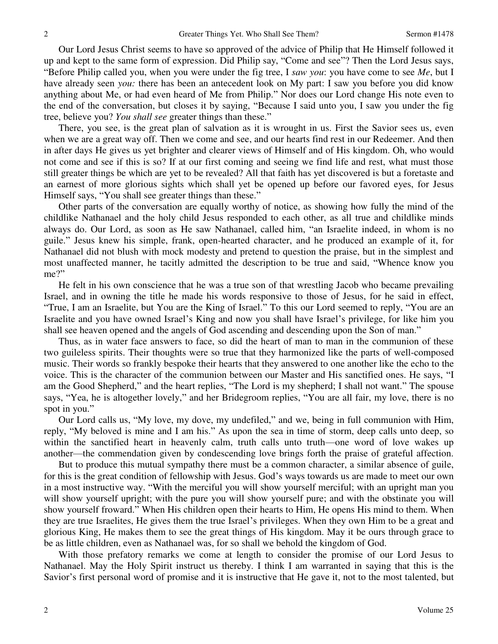Our Lord Jesus Christ seems to have so approved of the advice of Philip that He Himself followed it up and kept to the same form of expression. Did Philip say, "Come and see"? Then the Lord Jesus says, "Before Philip called you, when you were under the fig tree, I *saw you*: you have come to see *Me*, but I have already seen *you:* there has been an antecedent look on My part: I saw you before you did know anything about Me, or had even heard of Me from Philip." Nor does our Lord change His note even to the end of the conversation, but closes it by saying, "Because I said unto you, I saw you under the fig tree, believe you? *You shall see* greater things than these."

 There, you see, is the great plan of salvation as it is wrought in us. First the Savior sees us, even when we are a great way off. Then we come and see, and our hearts find rest in our Redeemer. And then in after days He gives us yet brighter and clearer views of Himself and of His kingdom. Oh, who would not come and see if this is so? If at our first coming and seeing we find life and rest, what must those still greater things be which are yet to be revealed? All that faith has yet discovered is but a foretaste and an earnest of more glorious sights which shall yet be opened up before our favored eyes, for Jesus Himself says, "You shall see greater things than these."

 Other parts of the conversation are equally worthy of notice, as showing how fully the mind of the childlike Nathanael and the holy child Jesus responded to each other, as all true and childlike minds always do. Our Lord, as soon as He saw Nathanael, called him, "an Israelite indeed, in whom is no guile." Jesus knew his simple, frank, open-hearted character, and he produced an example of it, for Nathanael did not blush with mock modesty and pretend to question the praise, but in the simplest and most unaffected manner, he tacitly admitted the description to be true and said, "Whence know you me?"

 He felt in his own conscience that he was a true son of that wrestling Jacob who became prevailing Israel, and in owning the title he made his words responsive to those of Jesus, for he said in effect, "True, I am an Israelite, but You are the King of Israel." To this our Lord seemed to reply, "You are an Israelite and you have owned Israel's King and now you shall have Israel's privilege, for like him you shall see heaven opened and the angels of God ascending and descending upon the Son of man."

 Thus, as in water face answers to face, so did the heart of man to man in the communion of these two guileless spirits. Their thoughts were so true that they harmonized like the parts of well-composed music. Their words so frankly bespoke their hearts that they answered to one another like the echo to the voice. This is the character of the communion between our Master and His sanctified ones. He says, "I am the Good Shepherd," and the heart replies, "The Lord is my shepherd; I shall not want." The spouse says, "Yea, he is altogether lovely," and her Bridegroom replies, "You are all fair, my love, there is no spot in you."

 Our Lord calls us, "My love, my dove, my undefiled," and we, being in full communion with Him, reply, "My beloved is mine and I am his." As upon the sea in time of storm, deep calls unto deep, so within the sanctified heart in heavenly calm, truth calls unto truth—one word of love wakes up another—the commendation given by condescending love brings forth the praise of grateful affection.

 But to produce this mutual sympathy there must be a common character, a similar absence of guile, for this is the great condition of fellowship with Jesus. God's ways towards us are made to meet our own in a most instructive way. "With the merciful you will show yourself merciful; with an upright man you will show yourself upright; with the pure you will show yourself pure; and with the obstinate you will show yourself froward." When His children open their hearts to Him, He opens His mind to them. When they are true Israelites, He gives them the true Israel's privileges. When they own Him to be a great and glorious King, He makes them to see the great things of His kingdom. May it be ours through grace to be as little children, even as Nathanael was, for so shall we behold the kingdom of God.

 With those prefatory remarks we come at length to consider the promise of our Lord Jesus to Nathanael. May the Holy Spirit instruct us thereby. I think I am warranted in saying that this is the Savior's first personal word of promise and it is instructive that He gave it, not to the most talented, but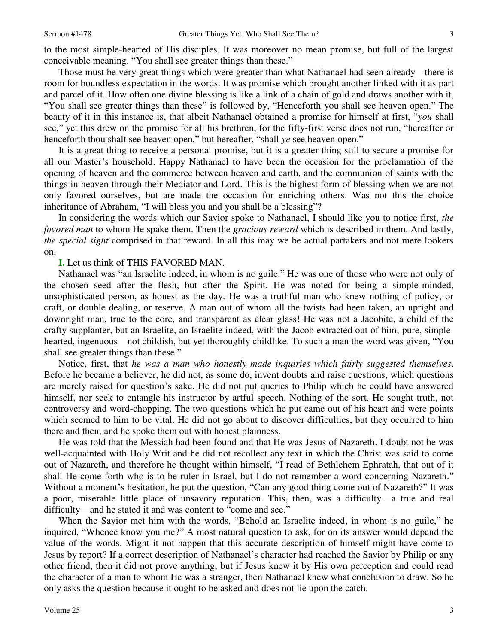to the most simple-hearted of His disciples. It was moreover no mean promise, but full of the largest conceivable meaning. "You shall see greater things than these."

 Those must be very great things which were greater than what Nathanael had seen already—there is room for boundless expectation in the words. It was promise which brought another linked with it as part and parcel of it. How often one divine blessing is like a link of a chain of gold and draws another with it, "You shall see greater things than these" is followed by, "Henceforth you shall see heaven open." The beauty of it in this instance is, that albeit Nathanael obtained a promise for himself at first, "*you* shall see," yet this drew on the promise for all his brethren, for the fifty-first verse does not run, "hereafter or henceforth thou shalt see heaven open," but hereafter, "shall *ye* see heaven open."

 It is a great thing to receive a personal promise, but it is a greater thing still to secure a promise for all our Master's household. Happy Nathanael to have been the occasion for the proclamation of the opening of heaven and the commerce between heaven and earth, and the communion of saints with the things in heaven through their Mediator and Lord. This is the highest form of blessing when we are not only favored ourselves, but are made the occasion for enriching others. Was not this the choice inheritance of Abraham, "I will bless you and you shall be a blessing"?

 In considering the words which our Savior spoke to Nathanael, I should like you to notice first, *the favored man* to whom He spake them. Then the *gracious reward* which is described in them. And lastly, *the special sight* comprised in that reward. In all this may we be actual partakers and not mere lookers on.

## **I.** Let us think of THIS FAVORED MAN.

 Nathanael was "an Israelite indeed, in whom is no guile." He was one of those who were not only of the chosen seed after the flesh, but after the Spirit. He was noted for being a simple-minded, unsophisticated person, as honest as the day. He was a truthful man who knew nothing of policy, or craft, or double dealing, or reserve. A man out of whom all the twists had been taken, an upright and downright man, true to the core, and transparent as clear glass! He was not a Jacobite, a child of the crafty supplanter, but an Israelite, an Israelite indeed, with the Jacob extracted out of him, pure, simplehearted, ingenuous—not childish, but yet thoroughly childlike. To such a man the word was given, "You shall see greater things than these."

 Notice, first, that *he was a man who honestly made inquiries which fairly suggested themselves*. Before he became a believer, he did not, as some do, invent doubts and raise questions, which questions are merely raised for question's sake. He did not put queries to Philip which he could have answered himself, nor seek to entangle his instructor by artful speech. Nothing of the sort. He sought truth, not controversy and word-chopping. The two questions which he put came out of his heart and were points which seemed to him to be vital. He did not go about to discover difficulties, but they occurred to him there and then, and he spoke them out with honest plainness.

 He was told that the Messiah had been found and that He was Jesus of Nazareth. I doubt not he was well-acquainted with Holy Writ and he did not recollect any text in which the Christ was said to come out of Nazareth, and therefore he thought within himself, "I read of Bethlehem Ephratah, that out of it shall He come forth who is to be ruler in Israel, but I do not remember a word concerning Nazareth." Without a moment's hesitation, he put the question, "Can any good thing come out of Nazareth?" It was a poor, miserable little place of unsavory reputation. This, then, was a difficulty—a true and real difficulty—and he stated it and was content to "come and see."

 When the Savior met him with the words, "Behold an Israelite indeed, in whom is no guile," he inquired, "Whence know you me?" A most natural question to ask, for on its answer would depend the value of the words. Might it not happen that this accurate description of himself might have come to Jesus by report? If a correct description of Nathanael's character had reached the Savior by Philip or any other friend, then it did not prove anything, but if Jesus knew it by His own perception and could read the character of a man to whom He was a stranger, then Nathanael knew what conclusion to draw. So he only asks the question because it ought to be asked and does not lie upon the catch.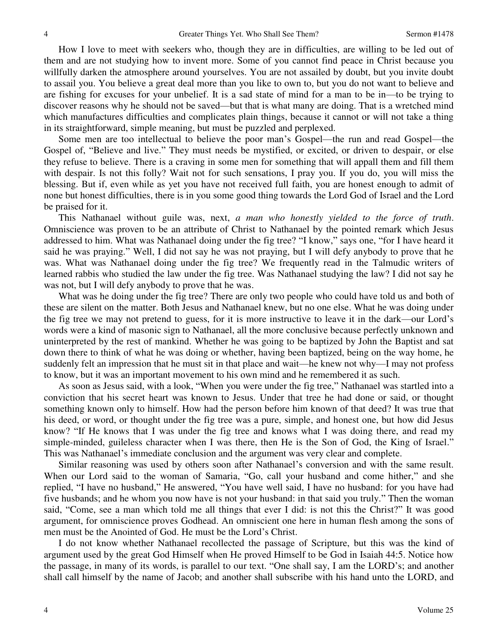How I love to meet with seekers who, though they are in difficulties, are willing to be led out of them and are not studying how to invent more. Some of you cannot find peace in Christ because you willfully darken the atmosphere around yourselves. You are not assailed by doubt, but you invite doubt to assail you. You believe a great deal more than you like to own to, but you do not want to believe and are fishing for excuses for your unbelief. It is a sad state of mind for a man to be in—to be trying to discover reasons why he should not be saved—but that is what many are doing. That is a wretched mind which manufactures difficulties and complicates plain things, because it cannot or will not take a thing in its straightforward, simple meaning, but must be puzzled and perplexed.

 Some men are too intellectual to believe the poor man's Gospel—the run and read Gospel—the Gospel of, "Believe and live." They must needs be mystified, or excited, or driven to despair, or else they refuse to believe. There is a craving in some men for something that will appall them and fill them with despair. Is not this folly? Wait not for such sensations, I pray you. If you do, you will miss the blessing. But if, even while as yet you have not received full faith, you are honest enough to admit of none but honest difficulties, there is in you some good thing towards the Lord God of Israel and the Lord be praised for it.

 This Nathanael without guile was, next, *a man who honestly yielded to the force of truth*. Omniscience was proven to be an attribute of Christ to Nathanael by the pointed remark which Jesus addressed to him. What was Nathanael doing under the fig tree? "I know," says one, "for I have heard it said he was praying." Well, I did not say he was not praying, but I will defy anybody to prove that he was. What was Nathanael doing under the fig tree? We frequently read in the Talmudic writers of learned rabbis who studied the law under the fig tree. Was Nathanael studying the law? I did not say he was not, but I will defy anybody to prove that he was.

 What was he doing under the fig tree? There are only two people who could have told us and both of these are silent on the matter. Both Jesus and Nathanael knew, but no one else. What he was doing under the fig tree we may not pretend to guess, for it is more instructive to leave it in the dark—our Lord's words were a kind of masonic sign to Nathanael, all the more conclusive because perfectly unknown and uninterpreted by the rest of mankind. Whether he was going to be baptized by John the Baptist and sat down there to think of what he was doing or whether, having been baptized, being on the way home, he suddenly felt an impression that he must sit in that place and wait—he knew not why—I may not profess to know, but it was an important movement to his own mind and he remembered it as such.

 As soon as Jesus said, with a look, "When you were under the fig tree," Nathanael was startled into a conviction that his secret heart was known to Jesus. Under that tree he had done or said, or thought something known only to himself. How had the person before him known of that deed? It was true that his deed, or word, or thought under the fig tree was a pure, simple, and honest one, but how did Jesus know? "If He knows that I was under the fig tree and knows what I was doing there, and read my simple-minded, guileless character when I was there, then He is the Son of God, the King of Israel." This was Nathanael's immediate conclusion and the argument was very clear and complete.

 Similar reasoning was used by others soon after Nathanael's conversion and with the same result. When our Lord said to the woman of Samaria, "Go, call your husband and come hither," and she replied, "I have no husband," He answered, "You have well said, I have no husband: for you have had five husbands; and he whom you now have is not your husband: in that said you truly." Then the woman said, "Come, see a man which told me all things that ever I did: is not this the Christ?" It was good argument, for omniscience proves Godhead. An omniscient one here in human flesh among the sons of men must be the Anointed of God. He must be the Lord's Christ.

 I do not know whether Nathanael recollected the passage of Scripture, but this was the kind of argument used by the great God Himself when He proved Himself to be God in Isaiah 44:5. Notice how the passage, in many of its words, is parallel to our text. "One shall say, I am the LORD's; and another shall call himself by the name of Jacob; and another shall subscribe with his hand unto the LORD, and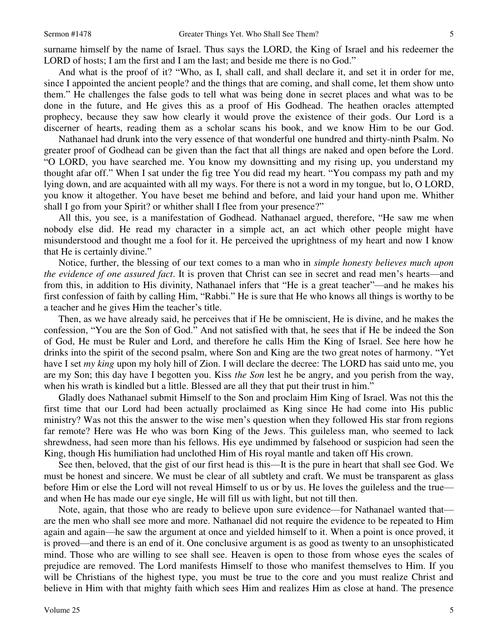surname himself by the name of Israel. Thus says the LORD, the King of Israel and his redeemer the LORD of hosts; I am the first and I am the last; and beside me there is no God."

 And what is the proof of it? "Who, as I, shall call, and shall declare it, and set it in order for me, since I appointed the ancient people? and the things that are coming, and shall come, let them show unto them." He challenges the false gods to tell what was being done in secret places and what was to be done in the future, and He gives this as a proof of His Godhead. The heathen oracles attempted prophecy, because they saw how clearly it would prove the existence of their gods. Our Lord is a discerner of hearts, reading them as a scholar scans his book, and we know Him to be our God.

 Nathanael had drunk into the very essence of that wonderful one hundred and thirty-ninth Psalm. No greater proof of Godhead can be given than the fact that all things are naked and open before the Lord. "O LORD, you have searched me. You know my downsitting and my rising up, you understand my thought afar off." When I sat under the fig tree You did read my heart. "You compass my path and my lying down, and are acquainted with all my ways. For there is not a word in my tongue, but lo, O LORD, you know it altogether. You have beset me behind and before, and laid your hand upon me. Whither shall I go from your Spirit? or whither shall I flee from your presence?"

 All this, you see, is a manifestation of Godhead. Nathanael argued, therefore, "He saw me when nobody else did. He read my character in a simple act, an act which other people might have misunderstood and thought me a fool for it. He perceived the uprightness of my heart and now I know that He is certainly divine."

 Notice, further, the blessing of our text comes to a man who in *simple honesty believes much upon the evidence of one assured fact*. It is proven that Christ can see in secret and read men's hearts—and from this, in addition to His divinity, Nathanael infers that "He is a great teacher"—and he makes his first confession of faith by calling Him, "Rabbi." He is sure that He who knows all things is worthy to be a teacher and he gives Him the teacher's title.

 Then, as we have already said, he perceives that if He be omniscient, He is divine, and he makes the confession, "You are the Son of God." And not satisfied with that, he sees that if He be indeed the Son of God, He must be Ruler and Lord, and therefore he calls Him the King of Israel. See here how he drinks into the spirit of the second psalm, where Son and King are the two great notes of harmony. "Yet have I set *my king* upon my holy hill of Zion. I will declare the decree: The LORD has said unto me, you are my Son; this day have I begotten you. Kiss *the Son* lest he be angry, and you perish from the way, when his wrath is kindled but a little. Blessed are all they that put their trust in him."

 Gladly does Nathanael submit Himself to the Son and proclaim Him King of Israel. Was not this the first time that our Lord had been actually proclaimed as King since He had come into His public ministry? Was not this the answer to the wise men's question when they followed His star from regions far remote? Here was He who was born King of the Jews. This guileless man, who seemed to lack shrewdness, had seen more than his fellows. His eye undimmed by falsehood or suspicion had seen the King, though His humiliation had unclothed Him of His royal mantle and taken off His crown.

 See then, beloved, that the gist of our first head is this—It is the pure in heart that shall see God. We must be honest and sincere. We must be clear of all subtlety and craft. We must be transparent as glass before Him or else the Lord will not reveal Himself to us or by us. He loves the guileless and the true and when He has made our eye single, He will fill us with light, but not till then.

 Note, again, that those who are ready to believe upon sure evidence—for Nathanael wanted that are the men who shall see more and more. Nathanael did not require the evidence to be repeated to Him again and again—he saw the argument at once and yielded himself to it. When a point is once proved, it is proved—and there is an end of it. One conclusive argument is as good as twenty to an unsophisticated mind. Those who are willing to see shall see. Heaven is open to those from whose eyes the scales of prejudice are removed. The Lord manifests Himself to those who manifest themselves to Him. If you will be Christians of the highest type, you must be true to the core and you must realize Christ and believe in Him with that mighty faith which sees Him and realizes Him as close at hand. The presence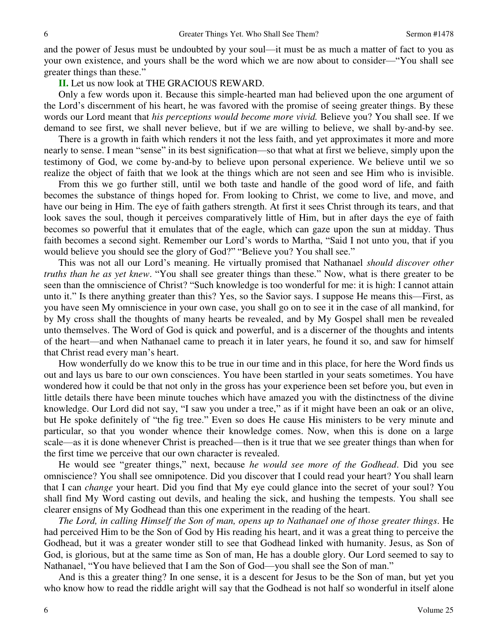and the power of Jesus must be undoubted by your soul—it must be as much a matter of fact to you as your own existence, and yours shall be the word which we are now about to consider—"You shall see greater things than these."

**II.** Let us now look at THE GRACIOUS REWARD.

 Only a few words upon it. Because this simple-hearted man had believed upon the one argument of the Lord's discernment of his heart, he was favored with the promise of seeing greater things. By these words our Lord meant that *his perceptions would become more vivid.* Believe you? You shall see. If we demand to see first, we shall never believe, but if we are willing to believe, we shall by-and-by see.

 There is a growth in faith which renders it not the less faith, and yet approximates it more and more nearly to sense. I mean "sense" in its best signification—so that what at first we believe, simply upon the testimony of God, we come by-and-by to believe upon personal experience. We believe until we so realize the object of faith that we look at the things which are not seen and see Him who is invisible.

 From this we go further still, until we both taste and handle of the good word of life, and faith becomes the substance of things hoped for. From looking to Christ, we come to live, and move, and have our being in Him. The eye of faith gathers strength. At first it sees Christ through its tears, and that look saves the soul, though it perceives comparatively little of Him, but in after days the eye of faith becomes so powerful that it emulates that of the eagle, which can gaze upon the sun at midday. Thus faith becomes a second sight. Remember our Lord's words to Martha, "Said I not unto you, that if you would believe you should see the glory of God?" "Believe you? You shall see."

 This was not all our Lord's meaning. He virtually promised that Nathanael *should discover other truths than he as yet knew*. "You shall see greater things than these." Now, what is there greater to be seen than the omniscience of Christ? "Such knowledge is too wonderful for me: it is high: I cannot attain unto it." Is there anything greater than this? Yes, so the Savior says. I suppose He means this—First, as you have seen My omniscience in your own case, you shall go on to see it in the case of all mankind, for by My cross shall the thoughts of many hearts be revealed, and by My Gospel shall men be revealed unto themselves. The Word of God is quick and powerful, and is a discerner of the thoughts and intents of the heart—and when Nathanael came to preach it in later years, he found it so, and saw for himself that Christ read every man's heart.

 How wonderfully do we know this to be true in our time and in this place, for here the Word finds us out and lays us bare to our own consciences. You have been startled in your seats sometimes. You have wondered how it could be that not only in the gross has your experience been set before you, but even in little details there have been minute touches which have amazed you with the distinctness of the divine knowledge. Our Lord did not say, "I saw you under a tree," as if it might have been an oak or an olive, but He spoke definitely of "the fig tree." Even so does He cause His ministers to be very minute and particular, so that you wonder whence their knowledge comes. Now, when this is done on a large scale—as it is done whenever Christ is preached—then is it true that we see greater things than when for the first time we perceive that our own character is revealed.

 He would see "greater things," next, because *he would see more of the Godhead*. Did you see omniscience? You shall see omnipotence. Did you discover that I could read your heart? You shall learn that I can *change* your heart. Did you find that My eye could glance into the secret of your soul? You shall find My Word casting out devils, and healing the sick, and hushing the tempests. You shall see clearer ensigns of My Godhead than this one experiment in the reading of the heart.

*The Lord, in calling Himself the Son of man, opens up to Nathanael one of those greater things*. He had perceived Him to be the Son of God by His reading his heart, and it was a great thing to perceive the Godhead, but it was a greater wonder still to see that Godhead linked with humanity. Jesus, as Son of God, is glorious, but at the same time as Son of man, He has a double glory. Our Lord seemed to say to Nathanael, "You have believed that I am the Son of God—you shall see the Son of man."

 And is this a greater thing? In one sense, it is a descent for Jesus to be the Son of man, but yet you who know how to read the riddle aright will say that the Godhead is not half so wonderful in itself alone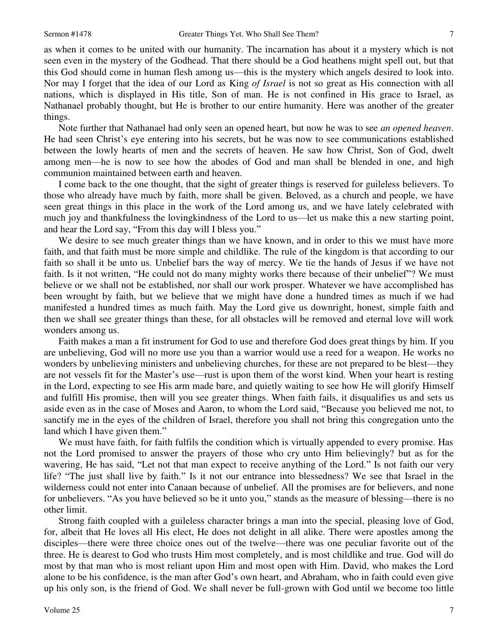as when it comes to be united with our humanity. The incarnation has about it a mystery which is not seen even in the mystery of the Godhead. That there should be a God heathens might spell out, but that this God should come in human flesh among us—this is the mystery which angels desired to look into. Nor may I forget that the idea of our Lord as King *of Israel* is not so great as His connection with all nations, which is displayed in His title, Son of man. He is not confined in His grace to Israel, as Nathanael probably thought, but He is brother to our entire humanity. Here was another of the greater things.

 Note further that Nathanael had only seen an opened heart, but now he was to see *an opened heaven*. He had seen Christ's eye entering into his secrets, but he was now to see communications established between the lowly hearts of men and the secrets of heaven. He saw how Christ, Son of God, dwelt among men—he is now to see how the abodes of God and man shall be blended in one, and high communion maintained between earth and heaven.

 I come back to the one thought, that the sight of greater things is reserved for guileless believers. To those who already have much by faith, more shall be given. Beloved, as a church and people, we have seen great things in this place in the work of the Lord among us, and we have lately celebrated with much joy and thankfulness the lovingkindness of the Lord to us—let us make this a new starting point, and hear the Lord say, "From this day will I bless you."

We desire to see much greater things than we have known, and in order to this we must have more faith, and that faith must be more simple and childlike. The rule of the kingdom is that according to our faith so shall it be unto us. Unbelief bars the way of mercy. We tie the hands of Jesus if we have not faith. Is it not written, "He could not do many mighty works there because of their unbelief"? We must believe or we shall not be established, nor shall our work prosper. Whatever we have accomplished has been wrought by faith, but we believe that we might have done a hundred times as much if we had manifested a hundred times as much faith. May the Lord give us downright, honest, simple faith and then we shall see greater things than these, for all obstacles will be removed and eternal love will work wonders among us.

 Faith makes a man a fit instrument for God to use and therefore God does great things by him. If you are unbelieving, God will no more use you than a warrior would use a reed for a weapon. He works no wonders by unbelieving ministers and unbelieving churches, for these are not prepared to be blest—they are not vessels fit for the Master's use—rust is upon them of the worst kind. When your heart is resting in the Lord, expecting to see His arm made bare, and quietly waiting to see how He will glorify Himself and fulfill His promise, then will you see greater things. When faith fails, it disqualifies us and sets us aside even as in the case of Moses and Aaron, to whom the Lord said, "Because you believed me not, to sanctify me in the eyes of the children of Israel, therefore you shall not bring this congregation unto the land which I have given them."

 We must have faith, for faith fulfils the condition which is virtually appended to every promise. Has not the Lord promised to answer the prayers of those who cry unto Him believingly? but as for the wavering, He has said, "Let not that man expect to receive anything of the Lord." Is not faith our very life? "The just shall live by faith." Is it not our entrance into blessedness? We see that Israel in the wilderness could not enter into Canaan because of unbelief. All the promises are for believers, and none for unbelievers. "As you have believed so be it unto you," stands as the measure of blessing—there is no other limit.

 Strong faith coupled with a guileless character brings a man into the special, pleasing love of God, for, albeit that He loves all His elect, He does not delight in all alike. There were apostles among the disciples—there were three choice ones out of the twelve—there was one peculiar favorite out of the three. He is dearest to God who trusts Him most completely, and is most childlike and true. God will do most by that man who is most reliant upon Him and most open with Him. David, who makes the Lord alone to be his confidence, is the man after God's own heart, and Abraham, who in faith could even give up his only son, is the friend of God. We shall never be full-grown with God until we become too little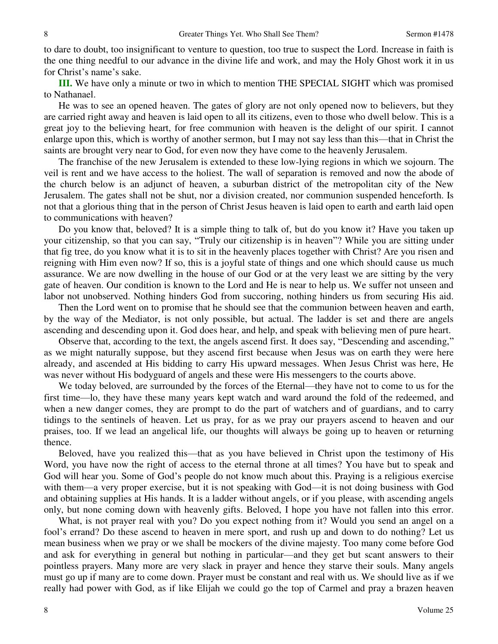to dare to doubt, too insignificant to venture to question, too true to suspect the Lord. Increase in faith is the one thing needful to our advance in the divine life and work, and may the Holy Ghost work it in us for Christ's name's sake.

**III.** We have only a minute or two in which to mention THE SPECIAL SIGHT which was promised to Nathanael.

 He was to see an opened heaven. The gates of glory are not only opened now to believers, but they are carried right away and heaven is laid open to all its citizens, even to those who dwell below. This is a great joy to the believing heart, for free communion with heaven is the delight of our spirit. I cannot enlarge upon this, which is worthy of another sermon, but I may not say less than this—that in Christ the saints are brought very near to God, for even now they have come to the heavenly Jerusalem.

 The franchise of the new Jerusalem is extended to these low-lying regions in which we sojourn. The veil is rent and we have access to the holiest. The wall of separation is removed and now the abode of the church below is an adjunct of heaven, a suburban district of the metropolitan city of the New Jerusalem. The gates shall not be shut, nor a division created, nor communion suspended henceforth. Is not that a glorious thing that in the person of Christ Jesus heaven is laid open to earth and earth laid open to communications with heaven?

 Do you know that, beloved? It is a simple thing to talk of, but do you know it? Have you taken up your citizenship, so that you can say, "Truly our citizenship is in heaven"? While you are sitting under that fig tree, do you know what it is to sit in the heavenly places together with Christ? Are you risen and reigning with Him even now? If so, this is a joyful state of things and one which should cause us much assurance. We are now dwelling in the house of our God or at the very least we are sitting by the very gate of heaven. Our condition is known to the Lord and He is near to help us. We suffer not unseen and labor not unobserved. Nothing hinders God from succoring, nothing hinders us from securing His aid.

 Then the Lord went on to promise that he should see that the communion between heaven and earth, by the way of the Mediator, is not only possible, but actual. The ladder is set and there are angels ascending and descending upon it. God does hear, and help, and speak with believing men of pure heart.

 Observe that, according to the text, the angels ascend first. It does say, "Descending and ascending," as we might naturally suppose, but they ascend first because when Jesus was on earth they were here already, and ascended at His bidding to carry His upward messages. When Jesus Christ was here, He was never without His bodyguard of angels and these were His messengers to the courts above.

 We today beloved, are surrounded by the forces of the Eternal—they have not to come to us for the first time—lo, they have these many years kept watch and ward around the fold of the redeemed, and when a new danger comes, they are prompt to do the part of watchers and of guardians, and to carry tidings to the sentinels of heaven. Let us pray, for as we pray our prayers ascend to heaven and our praises, too. If we lead an angelical life, our thoughts will always be going up to heaven or returning thence.

 Beloved, have you realized this—that as you have believed in Christ upon the testimony of His Word, you have now the right of access to the eternal throne at all times? You have but to speak and God will hear you. Some of God's people do not know much about this. Praying is a religious exercise with them—a very proper exercise, but it is not speaking with God—it is not doing business with God and obtaining supplies at His hands. It is a ladder without angels, or if you please, with ascending angels only, but none coming down with heavenly gifts. Beloved, I hope you have not fallen into this error.

 What, is not prayer real with you? Do you expect nothing from it? Would you send an angel on a fool's errand? Do these ascend to heaven in mere sport, and rush up and down to do nothing? Let us mean business when we pray or we shall be mockers of the divine majesty. Too many come before God and ask for everything in general but nothing in particular—and they get but scant answers to their pointless prayers. Many more are very slack in prayer and hence they starve their souls. Many angels must go up if many are to come down. Prayer must be constant and real with us. We should live as if we really had power with God, as if like Elijah we could go the top of Carmel and pray a brazen heaven